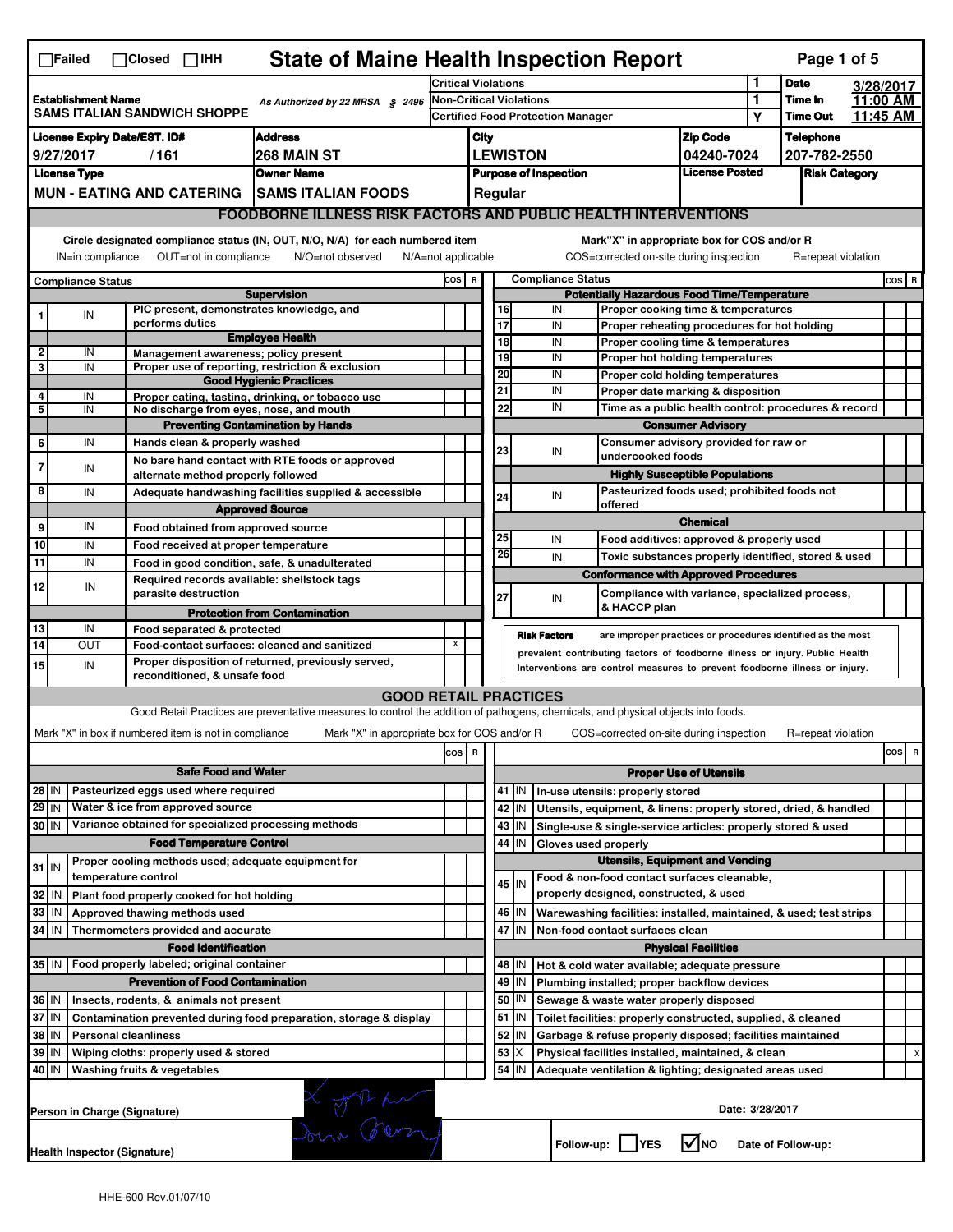|                                                                                                     | <b>State of Maine Health Inspection Report</b><br>Page 1 of 5<br>$\Box$ Failed<br>$\Box$ Closed $\Box$ IHH                                                                                                                                                                                |                                                                            |                                                                                                                                   |                         |                                          |                            |                          |                              |                                                                                                                 |                                       |        |                                  |                      |       |   |
|-----------------------------------------------------------------------------------------------------|-------------------------------------------------------------------------------------------------------------------------------------------------------------------------------------------------------------------------------------------------------------------------------------------|----------------------------------------------------------------------------|-----------------------------------------------------------------------------------------------------------------------------------|-------------------------|------------------------------------------|----------------------------|--------------------------|------------------------------|-----------------------------------------------------------------------------------------------------------------|---------------------------------------|--------|----------------------------------|----------------------|-------|---|
|                                                                                                     |                                                                                                                                                                                                                                                                                           |                                                                            |                                                                                                                                   |                         |                                          | <b>Critical Violations</b> |                          |                              |                                                                                                                 |                                       |        | <b>Date</b>                      | 3/28/2017            |       |   |
| <b>Establishment Name</b><br>As Authorized by 22 MRSA § 2496<br><b>SAMS ITALIAN SANDWICH SHOPPE</b> |                                                                                                                                                                                                                                                                                           |                                                                            |                                                                                                                                   | Non-Critical Violations |                                          |                            |                          |                              |                                                                                                                 |                                       | 1<br>Υ | Time In<br><b>Time Out</b>       | 11:00 AM<br>11:45 AM |       |   |
|                                                                                                     |                                                                                                                                                                                                                                                                                           |                                                                            |                                                                                                                                   |                         | <b>Certified Food Protection Manager</b> |                            |                          |                              |                                                                                                                 |                                       |        |                                  |                      |       |   |
| <b>Address</b><br><b>License Expiry Date/EST. ID#</b><br>9/27/2017<br>268 MAIN ST<br>/161           |                                                                                                                                                                                                                                                                                           |                                                                            |                                                                                                                                   |                         | City                                     |                            | <b>LEWISTON</b>          |                              |                                                                                                                 | <b>Zip Code</b><br>04240-7024         |        | <b>Telephone</b><br>207-782-2550 |                      |       |   |
|                                                                                                     | <b>License Type</b>                                                                                                                                                                                                                                                                       |                                                                            | <b>Owner Name</b>                                                                                                                 |                         |                                          |                            |                          | <b>Purpose of Inspection</b> |                                                                                                                 | <b>License Posted</b>                 |        | <b>Risk Category</b>             |                      |       |   |
|                                                                                                     |                                                                                                                                                                                                                                                                                           | <b>MUN - EATING AND CATERING</b>                                           | <b>SAMS ITALIAN FOODS</b>                                                                                                         |                         |                                          |                            | Regular                  |                              |                                                                                                                 |                                       |        |                                  |                      |       |   |
|                                                                                                     |                                                                                                                                                                                                                                                                                           |                                                                            | <b>FOODBORNE ILLNESS RISK FACTORS AND PUBLIC HEALTH INTERVENTIONS</b>                                                             |                         |                                          |                            |                          |                              |                                                                                                                 |                                       |        |                                  |                      |       |   |
|                                                                                                     |                                                                                                                                                                                                                                                                                           |                                                                            |                                                                                                                                   |                         |                                          |                            |                          |                              |                                                                                                                 |                                       |        |                                  |                      |       |   |
|                                                                                                     | Circle designated compliance status (IN, OUT, N/O, N/A) for each numbered item<br>Mark"X" in appropriate box for COS and/or R<br>IN=in compliance<br>OUT=not in compliance<br>N/O=not observed<br>COS=corrected on-site during inspection<br>R=repeat violation<br>$N/A = not$ applicable |                                                                            |                                                                                                                                   |                         |                                          |                            |                          |                              |                                                                                                                 |                                       |        |                                  |                      |       |   |
|                                                                                                     | <b>Compliance Status</b>                                                                                                                                                                                                                                                                  |                                                                            |                                                                                                                                   | COS R                   |                                          |                            |                          | <b>Compliance Status</b>     |                                                                                                                 |                                       |        |                                  |                      | COS R |   |
|                                                                                                     |                                                                                                                                                                                                                                                                                           | PIC present, demonstrates knowledge, and                                   | <b>Supervision</b>                                                                                                                |                         |                                          |                            | 16                       | IN                           | <b>Potentially Hazardous Food Time/Temperature</b><br>Proper cooking time & temperatures                        |                                       |        |                                  |                      |       |   |
|                                                                                                     | IN                                                                                                                                                                                                                                                                                        | performs duties                                                            |                                                                                                                                   |                         |                                          | $\overline{17}$            |                          | IN                           | Proper reheating procedures for hot holding                                                                     |                                       |        |                                  |                      |       |   |
|                                                                                                     |                                                                                                                                                                                                                                                                                           |                                                                            | <b>Employee Health</b>                                                                                                            |                         |                                          |                            | 18                       | IN                           | Proper cooling time & temperatures                                                                              |                                       |        |                                  |                      |       |   |
| $\mathbf{2}$<br>3                                                                                   | IN<br>IN                                                                                                                                                                                                                                                                                  | Management awareness; policy present                                       | Proper use of reporting, restriction & exclusion                                                                                  |                         |                                          |                            | 19                       | IN                           | Proper hot holding temperatures                                                                                 |                                       |        |                                  |                      |       |   |
|                                                                                                     |                                                                                                                                                                                                                                                                                           |                                                                            | <b>Good Hygienic Practices</b>                                                                                                    |                         |                                          | 20                         |                          | IN                           | Proper cold holding temperatures                                                                                |                                       |        |                                  |                      |       |   |
| 4                                                                                                   | IN                                                                                                                                                                                                                                                                                        |                                                                            | Proper eating, tasting, drinking, or tobacco use                                                                                  |                         |                                          | 21                         |                          | IN<br>IN                     | Proper date marking & disposition                                                                               |                                       |        |                                  |                      |       |   |
| 5                                                                                                   | IN                                                                                                                                                                                                                                                                                        | No discharge from eyes, nose, and mouth                                    | <b>Preventing Contamination by Hands</b>                                                                                          |                         |                                          |                            | 22                       |                              | Time as a public health control: procedures & record                                                            | <b>Consumer Advisory</b>              |        |                                  |                      |       |   |
| 6                                                                                                   | IN                                                                                                                                                                                                                                                                                        | Hands clean & properly washed                                              |                                                                                                                                   |                         |                                          |                            |                          |                              | Consumer advisory provided for raw or                                                                           |                                       |        |                                  |                      |       |   |
|                                                                                                     |                                                                                                                                                                                                                                                                                           |                                                                            | No bare hand contact with RTE foods or approved                                                                                   |                         |                                          | 23                         |                          | IN                           | undercooked foods                                                                                               |                                       |        |                                  |                      |       |   |
| 7                                                                                                   | IN                                                                                                                                                                                                                                                                                        | alternate method properly followed                                         |                                                                                                                                   |                         |                                          |                            |                          |                              |                                                                                                                 | <b>Highly Susceptible Populations</b> |        |                                  |                      |       |   |
| 8                                                                                                   | IN                                                                                                                                                                                                                                                                                        |                                                                            | Adequate handwashing facilities supplied & accessible                                                                             |                         |                                          |                            | 24                       | IN                           | Pasteurized foods used; prohibited foods not                                                                    |                                       |        |                                  |                      |       |   |
|                                                                                                     |                                                                                                                                                                                                                                                                                           |                                                                            | <b>Approved Source</b>                                                                                                            |                         |                                          |                            |                          |                              | offered                                                                                                         | <b>Chemical</b>                       |        |                                  |                      |       |   |
| 9                                                                                                   | IN                                                                                                                                                                                                                                                                                        | Food obtained from approved source                                         |                                                                                                                                   |                         |                                          | 25                         |                          | IN                           | Food additives: approved & properly used                                                                        |                                       |        |                                  |                      |       |   |
| 10<br>11                                                                                            | IN<br>IN                                                                                                                                                                                                                                                                                  | Food received at proper temperature                                        |                                                                                                                                   |                         |                                          | 26                         |                          | IN                           | Toxic substances properly identified, stored & used                                                             |                                       |        |                                  |                      |       |   |
|                                                                                                     |                                                                                                                                                                                                                                                                                           | Required records available: shellstock tags                                | Food in good condition, safe, & unadulterated                                                                                     |                         |                                          |                            |                          |                              | <b>Conformance with Approved Procedures</b>                                                                     |                                       |        |                                  |                      |       |   |
| 12                                                                                                  | IN                                                                                                                                                                                                                                                                                        | parasite destruction                                                       |                                                                                                                                   |                         |                                          | 27                         |                          | IN                           | Compliance with variance, specialized process,                                                                  |                                       |        |                                  |                      |       |   |
|                                                                                                     |                                                                                                                                                                                                                                                                                           |                                                                            | <b>Protection from Contamination</b>                                                                                              |                         |                                          |                            |                          |                              | & HACCP plan                                                                                                    |                                       |        |                                  |                      |       |   |
| 13                                                                                                  | IN                                                                                                                                                                                                                                                                                        | Food separated & protected                                                 |                                                                                                                                   |                         |                                          |                            |                          | <b>Risk Factors</b>          | are improper practices or procedures identified as the most                                                     |                                       |        |                                  |                      |       |   |
| 14                                                                                                  | OUT                                                                                                                                                                                                                                                                                       |                                                                            | Food-contact surfaces: cleaned and sanitized<br>Proper disposition of returned, previously served,                                | x                       |                                          |                            |                          |                              | prevalent contributing factors of foodborne illness or injury. Public Health                                    |                                       |        |                                  |                      |       |   |
| 15                                                                                                  | IN                                                                                                                                                                                                                                                                                        | reconditioned, & unsafe food                                               |                                                                                                                                   |                         |                                          |                            |                          |                              | Interventions are control measures to prevent foodborne illness or injury.                                      |                                       |        |                                  |                      |       |   |
|                                                                                                     |                                                                                                                                                                                                                                                                                           |                                                                            | <b>GOOD RETAIL PRACTICES</b>                                                                                                      |                         |                                          |                            |                          |                              |                                                                                                                 |                                       |        |                                  |                      |       |   |
|                                                                                                     |                                                                                                                                                                                                                                                                                           |                                                                            | Good Retail Practices are preventative measures to control the addition of pathogens, chemicals, and physical objects into foods. |                         |                                          |                            |                          |                              |                                                                                                                 |                                       |        |                                  |                      |       |   |
|                                                                                                     |                                                                                                                                                                                                                                                                                           | Mark "X" in box if numbered item is not in compliance                      | Mark "X" in appropriate box for COS and/or R                                                                                      |                         |                                          |                            |                          |                              | COS=corrected on-site during inspection                                                                         |                                       |        | R=repeat violation               |                      |       |   |
|                                                                                                     |                                                                                                                                                                                                                                                                                           |                                                                            |                                                                                                                                   | cos R                   |                                          |                            |                          |                              |                                                                                                                 |                                       |        |                                  |                      | cos   | R |
|                                                                                                     |                                                                                                                                                                                                                                                                                           | <b>Safe Food and Water</b>                                                 |                                                                                                                                   |                         |                                          |                            |                          |                              |                                                                                                                 | <b>Proper Use of Utensils</b>         |        |                                  |                      |       |   |
| 28 IN                                                                                               |                                                                                                                                                                                                                                                                                           | Pasteurized eggs used where required                                       |                                                                                                                                   |                         |                                          |                            | 41   IN                  |                              | In-use utensils: properly stored                                                                                |                                       |        |                                  |                      |       |   |
| $29$ IN                                                                                             |                                                                                                                                                                                                                                                                                           | Water & ice from approved source                                           |                                                                                                                                   |                         |                                          |                            | 42 IN                    |                              | Utensils, equipment, & linens: properly stored, dried, & handled                                                |                                       |        |                                  |                      |       |   |
| 30 IN                                                                                               |                                                                                                                                                                                                                                                                                           | Variance obtained for specialized processing methods                       |                                                                                                                                   |                         |                                          |                            | 43   IN                  |                              | Single-use & single-service articles: properly stored & used                                                    |                                       |        |                                  |                      |       |   |
|                                                                                                     |                                                                                                                                                                                                                                                                                           | <b>Food Temperature Control</b>                                            |                                                                                                                                   |                         |                                          |                            | 44 IN                    |                              | Gloves used properly                                                                                            |                                       |        |                                  |                      |       |   |
| $31$ IN                                                                                             |                                                                                                                                                                                                                                                                                           | Proper cooling methods used; adequate equipment for<br>temperature control |                                                                                                                                   |                         |                                          |                            |                          |                              | <b>Utensils, Equipment and Vending</b><br>Food & non-food contact surfaces cleanable,                           |                                       |        |                                  |                      |       |   |
| 32                                                                                                  | l IN                                                                                                                                                                                                                                                                                      | Plant food properly cooked for hot holding                                 |                                                                                                                                   |                         |                                          |                            | 45   IN                  |                              | properly designed, constructed, & used                                                                          |                                       |        |                                  |                      |       |   |
| 33                                                                                                  | IN                                                                                                                                                                                                                                                                                        | Approved thawing methods used                                              |                                                                                                                                   |                         |                                          |                            | 46 IN                    |                              | Warewashing facilities: installed, maintained, & used; test strips                                              |                                       |        |                                  |                      |       |   |
| 34 IN                                                                                               |                                                                                                                                                                                                                                                                                           | Thermometers provided and accurate                                         |                                                                                                                                   |                         |                                          |                            | 47 IN                    |                              | Non-food contact surfaces clean                                                                                 |                                       |        |                                  |                      |       |   |
|                                                                                                     |                                                                                                                                                                                                                                                                                           | <b>Food Identification</b>                                                 |                                                                                                                                   |                         |                                          |                            |                          |                              |                                                                                                                 | <b>Physical Facilities</b>            |        |                                  |                      |       |   |
| 35 IN                                                                                               |                                                                                                                                                                                                                                                                                           | Food properly labeled; original container                                  |                                                                                                                                   |                         |                                          |                            | 48   IN                  |                              | Hot & cold water available; adequate pressure                                                                   |                                       |        |                                  |                      |       |   |
|                                                                                                     |                                                                                                                                                                                                                                                                                           | <b>Prevention of Food Contamination</b>                                    |                                                                                                                                   |                         |                                          |                            | 49<br>IN                 |                              | Plumbing installed; proper backflow devices                                                                     |                                       |        |                                  |                      |       |   |
| 36 IN                                                                                               |                                                                                                                                                                                                                                                                                           | Insects, rodents, & animals not present                                    |                                                                                                                                   |                         |                                          |                            | 50   IN                  |                              | Sewage & waste water properly disposed                                                                          |                                       |        |                                  |                      |       |   |
| 37 IN<br>38 IN                                                                                      |                                                                                                                                                                                                                                                                                           |                                                                            | Contamination prevented during food preparation, storage & display                                                                |                         |                                          |                            | $51$ $\vert$ IN<br>52 IN |                              | Toilet facilities: properly constructed, supplied, & cleaned                                                    |                                       |        |                                  |                      |       |   |
| 39 IN                                                                                               |                                                                                                                                                                                                                                                                                           | <b>Personal cleanliness</b><br>Wiping cloths: properly used & stored       |                                                                                                                                   |                         |                                          | 53                         | X                        |                              | Garbage & refuse properly disposed; facilities maintained<br>Physical facilities installed, maintained, & clean |                                       |        |                                  |                      |       |   |
| 40 IN                                                                                               |                                                                                                                                                                                                                                                                                           | Washing fruits & vegetables                                                |                                                                                                                                   |                         |                                          |                            | 54 IN                    |                              | Adequate ventilation & lighting; designated areas used                                                          |                                       |        |                                  |                      |       |   |
|                                                                                                     |                                                                                                                                                                                                                                                                                           | Person in Charge (Signature)                                               |                                                                                                                                   |                         |                                          |                            |                          |                              |                                                                                                                 | Date: 3/28/2017                       |        |                                  |                      |       |   |
|                                                                                                     |                                                                                                                                                                                                                                                                                           | Health Inspector (Signature)                                               | 2 John Berry                                                                                                                      |                         |                                          |                            |                          |                              | Follow-up: YES                                                                                                  | $\sqrt{ }$ NO                         |        | Date of Follow-up:               |                      |       |   |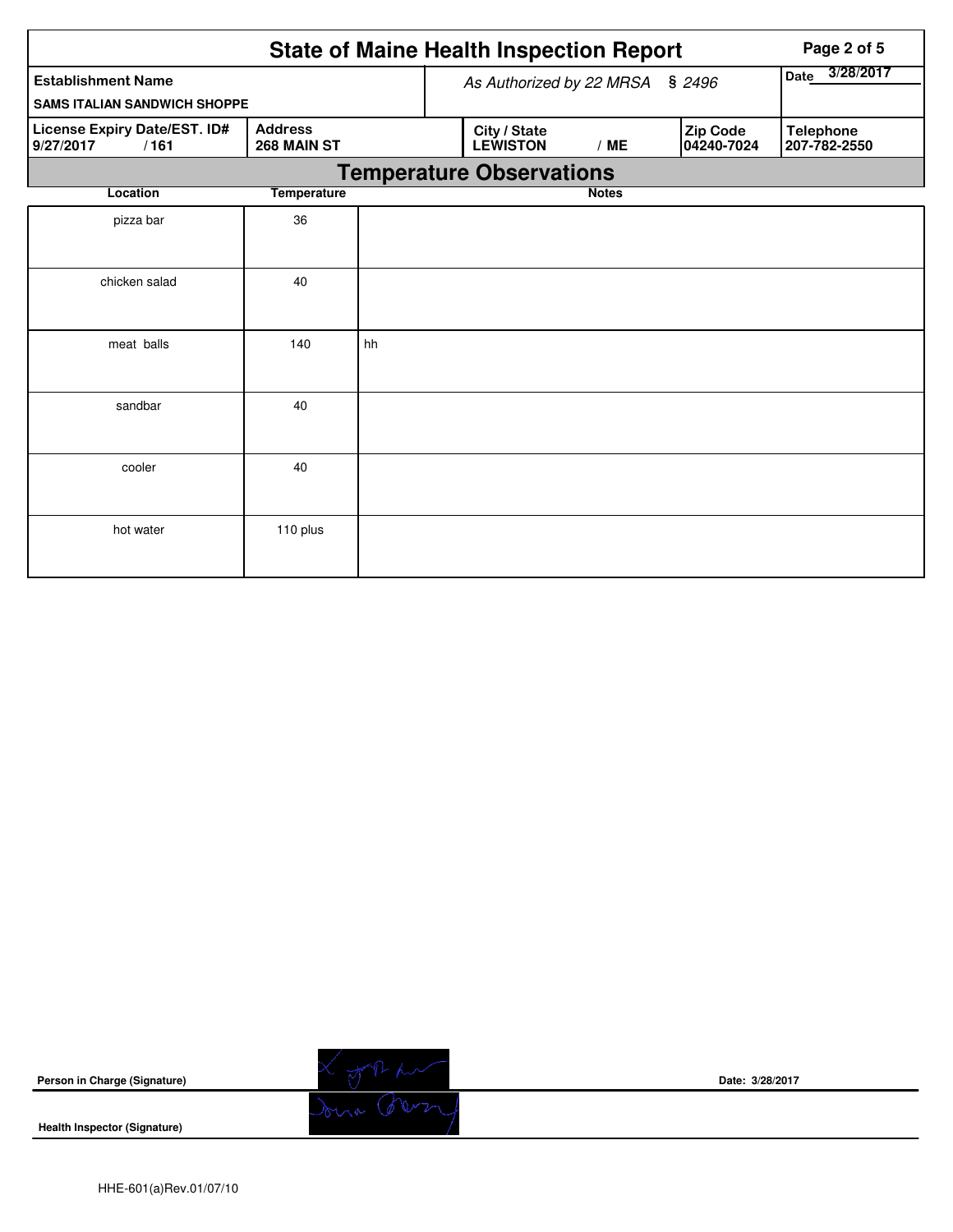|                                                   | Page 2 of 5                   |                          |                                 |                   |                        |                                  |
|---------------------------------------------------|-------------------------------|--------------------------|---------------------------------|-------------------|------------------------|----------------------------------|
| <b>Establishment Name</b>                         |                               | As Authorized by 22 MRSA | \$2496                          | 3/28/2017<br>Date |                        |                                  |
| <b>SAMS ITALIAN SANDWICH SHOPPE</b>               |                               |                          |                                 |                   |                        |                                  |
| License Expiry Date/EST. ID#<br>9/27/2017<br>/161 | <b>Address</b><br>268 MAIN ST |                          | City / State<br><b>LEWISTON</b> | /ME               | Zip Code<br>04240-7024 | <b>Telephone</b><br>207-782-2550 |
|                                                   |                               |                          | <b>Temperature Observations</b> |                   |                        |                                  |
| Location                                          | <b>Temperature</b>            |                          |                                 | <b>Notes</b>      |                        |                                  |
| pizza bar                                         | 36                            |                          |                                 |                   |                        |                                  |
| chicken salad                                     | 40                            |                          |                                 |                   |                        |                                  |
| meat balls                                        | 140                           | hh                       |                                 |                   |                        |                                  |
| sandbar                                           | 40                            |                          |                                 |                   |                        |                                  |
| cooler                                            | 40                            |                          |                                 |                   |                        |                                  |
| hot water                                         | 110 plus                      |                          |                                 |                   |                        |                                  |

| Person in Charge (Signature)        |         | Date: 3/28/2017 |
|-------------------------------------|---------|-----------------|
| <b>Health Inspector (Signature)</b> | $-0.00$ |                 |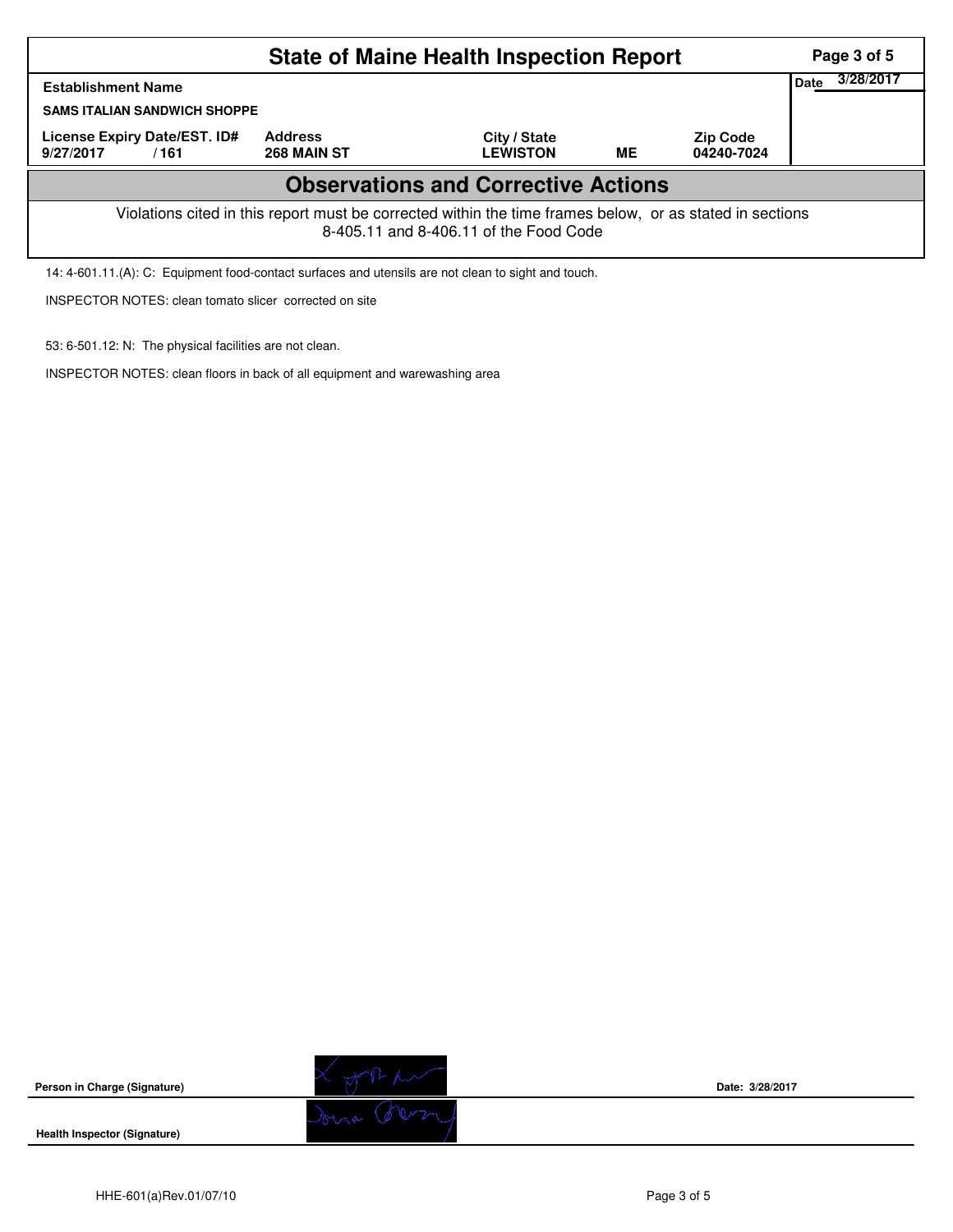| <b>State of Maine Health Inspection Report</b>                                                                                                     |                               |                                 |           |                               |  |  |  |  |
|----------------------------------------------------------------------------------------------------------------------------------------------------|-------------------------------|---------------------------------|-----------|-------------------------------|--|--|--|--|
| Date<br><b>Establishment Name</b><br><b>SAMS ITALIAN SANDWICH SHOPPE</b>                                                                           |                               |                                 |           |                               |  |  |  |  |
| License Expiry Date/EST. ID#<br>9/27/2017<br>/161                                                                                                  | <b>Address</b><br>268 MAIN ST | City / State<br><b>LEWISTON</b> | <b>ME</b> | <b>Zip Code</b><br>04240-7024 |  |  |  |  |
| <b>Observations and Corrective Actions</b>                                                                                                         |                               |                                 |           |                               |  |  |  |  |
| Violations cited in this report must be corrected within the time frames below, or as stated in sections<br>8-405.11 and 8-406.11 of the Food Code |                               |                                 |           |                               |  |  |  |  |

14: 4-601.11.(A): C: Equipment food-contact surfaces and utensils are not clean to sight and touch.

INSPECTOR NOTES: clean tomato slicer corrected on site

53: 6-501.12: N: The physical facilities are not clean.

INSPECTOR NOTES: clean floors in back of all equipment and warewashing area

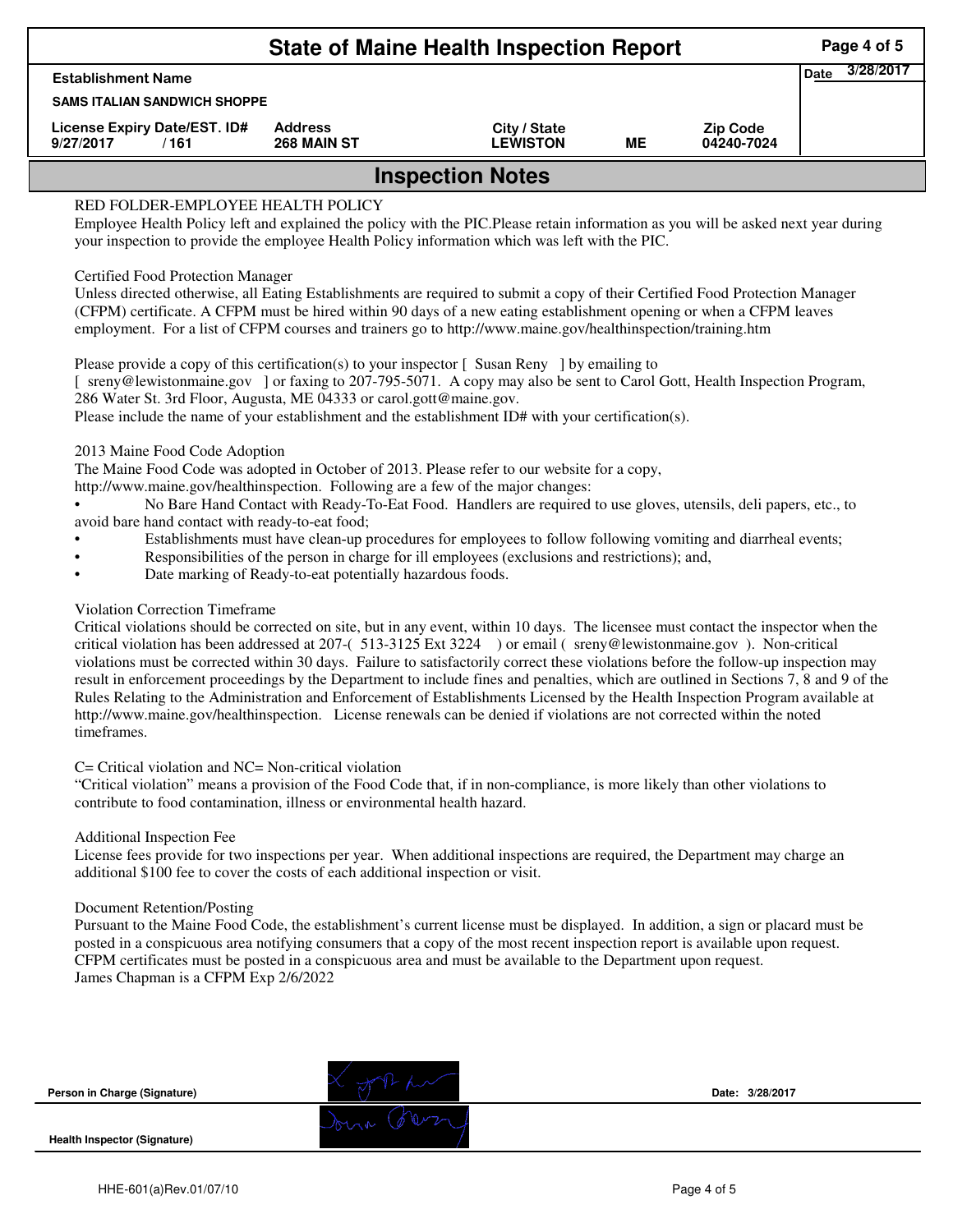| <b>State of Maine Health Inspection Report</b><br>Page 4 of 5 |                               |                                 |    |                               |  |  |  |  |
|---------------------------------------------------------------|-------------------------------|---------------------------------|----|-------------------------------|--|--|--|--|
| <b>Establishment Name</b>                                     |                               |                                 |    |                               |  |  |  |  |
| <b>SAMS ITALIAN SANDWICH SHOPPE</b>                           |                               |                                 |    |                               |  |  |  |  |
| License Expiry Date/EST. ID#<br>/161<br>9/27/2017             | <b>Address</b><br>268 MAIN ST | City / State<br><b>LEWISTON</b> | ME | <b>Zip Code</b><br>04240-7024 |  |  |  |  |
| <b>Inspection Notes</b>                                       |                               |                                 |    |                               |  |  |  |  |

## RED FOLDER-EMPLOYEE HEALTH POLICY

Employee Health Policy left and explained the policy with the PIC.Please retain information as you will be asked next year during your inspection to provide the employee Health Policy information which was left with the PIC.

### Certified Food Protection Manager

Unless directed otherwise, all Eating Establishments are required to submit a copy of their Certified Food Protection Manager (CFPM) certificate. A CFPM must be hired within 90 days of a new eating establishment opening or when a CFPM leaves employment. For a list of CFPM courses and trainers go to http://www.maine.gov/healthinspection/training.htm

Please provide a copy of this certification(s) to your inspector [Susan Reny ] by emailing to [ sreny@lewistonmaine.gov ] or faxing to 207-795-5071. A copy may also be sent to Carol Gott, Health Inspection Program, 286 Water St. 3rd Floor, Augusta, ME 04333 or carol.gott@maine.gov.

Please include the name of your establishment and the establishment ID# with your certification(s).

2013 Maine Food Code Adoption

The Maine Food Code was adopted in October of 2013. Please refer to our website for a copy,

http://www.maine.gov/healthinspection. Following are a few of the major changes:

• No Bare Hand Contact with Ready-To-Eat Food. Handlers are required to use gloves, utensils, deli papers, etc., to avoid bare hand contact with ready-to-eat food;

- Establishments must have clean-up procedures for employees to follow following vomiting and diarrheal events;
- Responsibilities of the person in charge for ill employees (exclusions and restrictions); and,
- Date marking of Ready-to-eat potentially hazardous foods.

# Violation Correction Timeframe

Critical violations should be corrected on site, but in any event, within 10 days. The licensee must contact the inspector when the critical violation has been addressed at 207-( 513-3125 Ext 3224 ) or email ( sreny@lewistonmaine.gov ). Non-critical violations must be corrected within 30 days. Failure to satisfactorily correct these violations before the follow-up inspection may result in enforcement proceedings by the Department to include fines and penalties, which are outlined in Sections 7, 8 and 9 of the Rules Relating to the Administration and Enforcement of Establishments Licensed by the Health Inspection Program available at http://www.maine.gov/healthinspection. License renewals can be denied if violations are not corrected within the noted timeframes.

#### C= Critical violation and NC= Non-critical violation

"Critical violation" means a provision of the Food Code that, if in non-compliance, is more likely than other violations to contribute to food contamination, illness or environmental health hazard.

#### Additional Inspection Fee

License fees provide for two inspections per year. When additional inspections are required, the Department may charge an additional \$100 fee to cover the costs of each additional inspection or visit.

#### Document Retention/Posting

Pursuant to the Maine Food Code, the establishment's current license must be displayed. In addition, a sign or placard must be posted in a conspicuous area notifying consumers that a copy of the most recent inspection report is available upon request. CFPM certificates must be posted in a conspicuous area and must be available to the Department upon request. James Chapman is a CFPM Exp 2/6/2022

| Person in Charge (Signature)        | Date: 3/28/2017 |
|-------------------------------------|-----------------|
| <b>Health Inspector (Signature)</b> |                 |